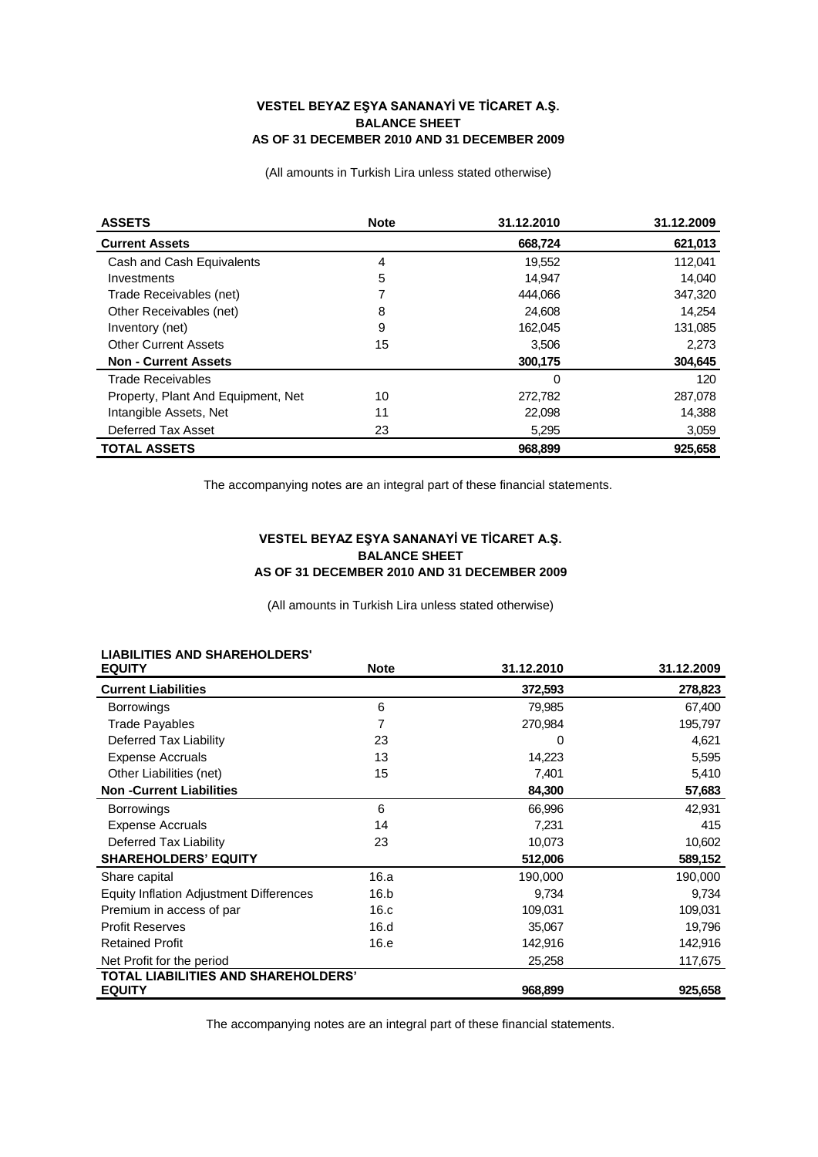#### **VESTEL BEYAZ EŞYA SANANAYİ VE TİCARET A.Ş. BALANCE SHEET AS OF 31 DECEMBER 2010 AND 31 DECEMBER 2009**

(All amounts in Turkish Lira unless stated otherwise)

| <b>ASSETS</b>                      | <b>Note</b> | 31.12.2010 | 31.12.2009 |
|------------------------------------|-------------|------------|------------|
| <b>Current Assets</b>              |             | 668,724    | 621,013    |
| Cash and Cash Equivalents          | 4           | 19,552     | 112.041    |
| Investments                        | 5           | 14,947     | 14,040     |
| Trade Receivables (net)            | 7           | 444.066    | 347,320    |
| Other Receivables (net)            | 8           | 24,608     | 14.254     |
| Inventory (net)                    | 9           | 162,045    | 131,085    |
| <b>Other Current Assets</b>        | 15          | 3,506      | 2.273      |
| <b>Non - Current Assets</b>        |             | 300,175    | 304,645    |
| <b>Trade Receivables</b>           |             | 0          | 120        |
| Property, Plant And Equipment, Net | 10          | 272,782    | 287,078    |
| Intangible Assets, Net             | 11          | 22,098     | 14,388     |
| Deferred Tax Asset                 | 23          | 5,295      | 3,059      |
| <b>TOTAL ASSETS</b>                |             | 968.899    | 925.658    |

The accompanying notes are an integral part of these financial statements.

### **VESTEL BEYAZ EŞYA SANANAYİ VE TİCARET A.Ş. BALANCE SHEET AS OF 31 DECEMBER 2010 AND 31 DECEMBER 2009**

(All amounts in Turkish Lira unless stated otherwise)

| <b>EQUITY</b>                                  | <b>Note</b> | 31.12.2010 | 31.12.2009 |
|------------------------------------------------|-------------|------------|------------|
| <b>Current Liabilities</b>                     |             | 372,593    | 278,823    |
| <b>Borrowings</b>                              | 6           | 79,985     | 67,400     |
| <b>Trade Payables</b>                          | 7           | 270,984    | 195,797    |
| Deferred Tax Liability                         | 23          | 0          | 4,621      |
| <b>Expense Accruals</b>                        | 13          | 14,223     | 5,595      |
| Other Liabilities (net)                        | 15          | 7,401      | 5,410      |
| <b>Non-Current Liabilities</b>                 |             | 84,300     | 57,683     |
| <b>Borrowings</b>                              | 6           | 66,996     | 42,931     |
| <b>Expense Accruals</b>                        | 14          | 7,231      | 415        |
| Deferred Tax Liability                         | 23          | 10,073     | 10,602     |
| <b>SHAREHOLDERS' EQUITY</b>                    |             | 512,006    | 589,152    |
| Share capital                                  | 16.a        | 190,000    | 190,000    |
| <b>Equity Inflation Adjustment Differences</b> | 16.b        | 9,734      | 9,734      |
| Premium in access of par                       | 16.c        | 109,031    | 109,031    |
| <b>Profit Reserves</b>                         | 16.d        | 35,067     | 19,796     |
| <b>Retained Profit</b>                         | 16.e        | 142,916    | 142,916    |
| Net Profit for the period                      |             | 25,258     | 117,675    |
| <b>TOTAL LIABILITIES AND SHAREHOLDERS'</b>     |             |            |            |
| <b>EQUITY</b>                                  |             | 968,899    | 925,658    |

# **LIABILITIES AND SHAREHOLDERS'**

The accompanying notes are an integral part of these financial statements.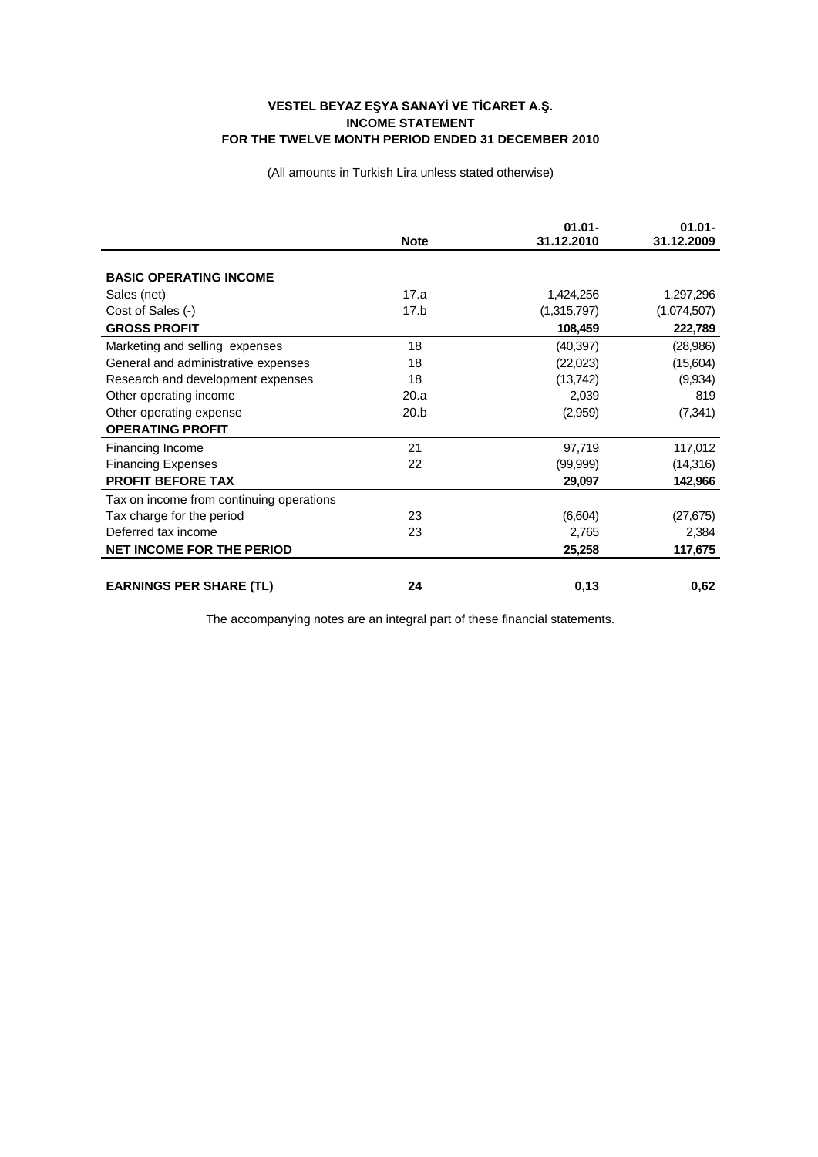### **VESTEL BEYAZ EŞYA SANAYİ VE TİCARET A.Ş. INCOME STATEMENT FOR THE TWELVE MONTH PERIOD ENDED 31 DECEMBER 2010**

(All amounts in Turkish Lira unless stated otherwise)

|                                          | <b>Note</b> | $01.01 -$<br>31.12.2010 | $01.01 -$<br>31.12.2009 |
|------------------------------------------|-------------|-------------------------|-------------------------|
|                                          |             |                         |                         |
| <b>BASIC OPERATING INCOME</b>            |             |                         |                         |
| Sales (net)                              | 17.a        | 1,424,256               | 1,297,296               |
| Cost of Sales (-)                        | 17.b        | (1,315,797)             | (1,074,507)             |
| <b>GROSS PROFIT</b>                      |             | 108,459                 | 222,789                 |
| Marketing and selling expenses           | 18          | (40, 397)               | (28, 986)               |
| General and administrative expenses      | 18          | (22,023)                | (15,604)                |
| Research and development expenses        | 18          | (13, 742)               | (9,934)                 |
| Other operating income                   | 20.a        | 2,039                   | 819                     |
| Other operating expense                  | 20.b        | (2,959)                 | (7, 341)                |
| <b>OPERATING PROFIT</b>                  |             |                         |                         |
| Financing Income                         | 21          | 97,719                  | 117,012                 |
| <b>Financing Expenses</b>                | 22          | (99,999)                | (14, 316)               |
| <b>PROFIT BEFORE TAX</b>                 |             | 29,097                  | 142,966                 |
| Tax on income from continuing operations |             |                         |                         |
| Tax charge for the period                | 23          | (6,604)                 | (27, 675)               |
| Deferred tax income                      | 23          | 2,765                   | 2,384                   |
| <b>NET INCOME FOR THE PERIOD</b>         |             | 25,258                  | 117,675                 |
|                                          |             |                         |                         |
| <b>EARNINGS PER SHARE (TL)</b>           | 24          | 0,13                    | 0,62                    |

The accompanying notes are an integral part of these financial statements.